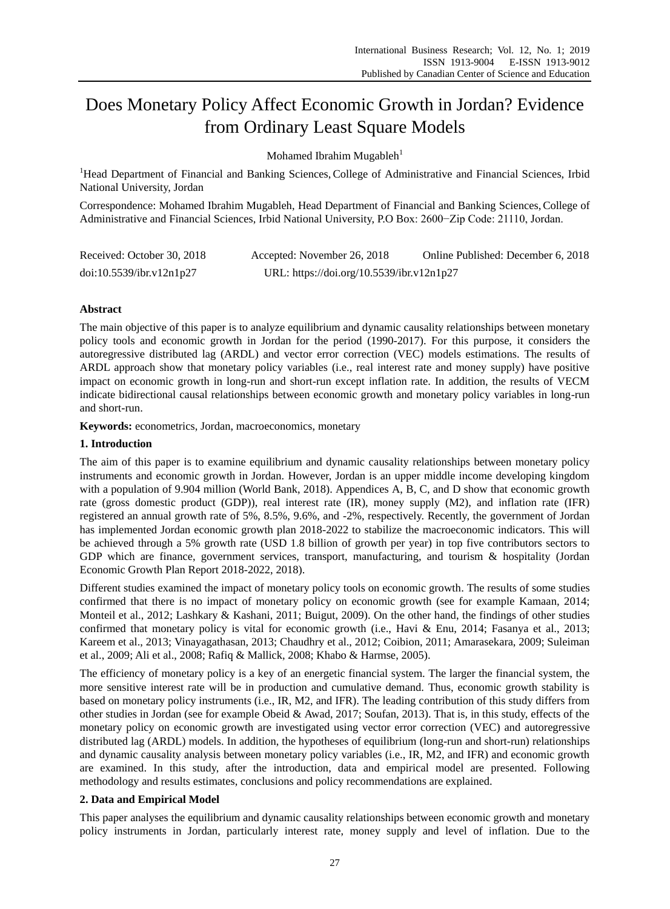# Does Monetary Policy Affect Economic Growth in Jordan? Evidence from Ordinary Least Square Models

Mohamed Ibrahim Mugableh<sup>1</sup>

<sup>1</sup>Head Department of Financial and Banking Sciences, College of Administrative and Financial Sciences, Irbid National University, Jordan

Correspondence: Mohamed Ibrahim Mugableh, Head Department of Financial and Banking Sciences,College of Administrative and Financial Sciences, Irbid National University, P.O Box: 2600−Zip Code: 21110, Jordan.

| Received: October 30, 2018 | Accepted: November 26, 2018               | Online Published: December 6, 2018 |
|----------------------------|-------------------------------------------|------------------------------------|
| doi:10.5539/ibr.v12n1p27   | URL: https://doi.org/10.5539/ibr.v12n1p27 |                                    |

## **Abstract**

The main objective of this paper is to analyze equilibrium and dynamic causality relationships between monetary policy tools and economic growth in Jordan for the period (1990-2017). For this purpose, it considers the autoregressive distributed lag (ARDL) and vector error correction (VEC) models estimations. The results of ARDL approach show that monetary policy variables (i.e., real interest rate and money supply) have positive impact on economic growth in long-run and short-run except inflation rate. In addition, the results of VECM indicate bidirectional causal relationships between economic growth and monetary policy variables in long-run and short-run.

**Keywords:** econometrics, Jordan, macroeconomics, monetary

### **1. Introduction**

The aim of this paper is to examine equilibrium and dynamic causality relationships between monetary policy instruments and economic growth in Jordan. However, Jordan is an upper middle income developing kingdom with a population of 9.904 million (World Bank, 2018). Appendices A, B, C, and D show that economic growth rate (gross domestic product (GDP)), real interest rate (IR), money supply (M2), and inflation rate (IFR) registered an annual growth rate of 5%, 8.5%, 9.6%, and -2%, respectively. Recently, the government of Jordan has implemented Jordan economic growth plan 2018-2022 to stabilize the macroeconomic indicators. This will be achieved through a 5% growth rate (USD 1.8 billion of growth per year) in top five contributors sectors to GDP which are finance, government services, transport, manufacturing, and tourism & hospitality (Jordan Economic Growth Plan Report 2018-2022, 2018).

Different studies examined the impact of monetary policy tools on economic growth. The results of some studies confirmed that there is no impact of monetary policy on economic growth (see for example Kamaan, 2014; Monteil et al., 2012; Lashkary & Kashani, 2011; Buigut, 2009). On the other hand, the findings of other studies confirmed that monetary policy is vital for economic growth (i.e., Havi & Enu, 2014; Fasanya et al., 2013; Kareem et al., 2013; Vinayagathasan, 2013; Chaudhry et al., 2012; Coibion, 2011; Amarasekara, 2009; Suleiman et al., 2009; Ali et al., 2008; Rafiq & Mallick, 2008; Khabo & Harmse, 2005).

The efficiency of monetary policy is a key of an energetic financial system. The larger the financial system, the more sensitive interest rate will be in production and cumulative demand. Thus, economic growth stability is based on monetary policy instruments (i.e., IR, M2, and IFR). The leading contribution of this study differs from other studies in Jordan (see for example Obeid & Awad, 2017; Soufan, 2013). That is, in this study, effects of the monetary policy on economic growth are investigated using vector error correction (VEC) and autoregressive distributed lag (ARDL) models. In addition, the hypotheses of equilibrium (long-run and short-run) relationships and dynamic causality analysis between monetary policy variables (i.e., IR, M2, and IFR) and economic growth are examined. In this study, after the introduction, data and empirical model are presented. Following methodology and results estimates, conclusions and policy recommendations are explained.

## **2. Data and Empirical Model**

This paper analyses the equilibrium and dynamic causality relationships between economic growth and monetary policy instruments in Jordan, particularly interest rate, money supply and level of inflation. Due to the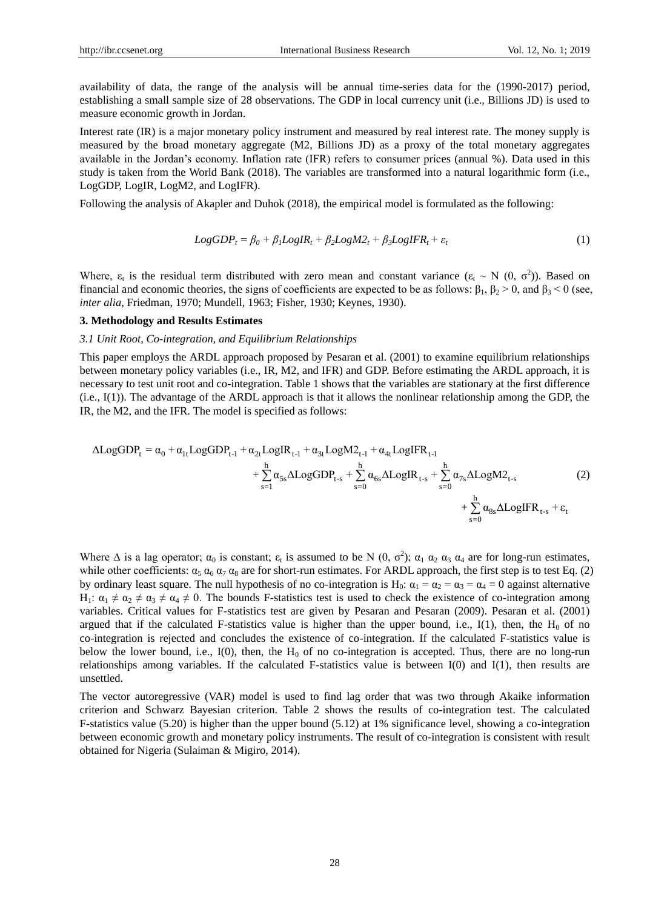availability of data, the range of the analysis will be annual time-series data for the (1990-2017) period, establishing a small sample size of 28 observations. The GDP in local currency unit (i.e., Billions JD) is used to measure economic growth in Jordan.

Interest rate (IR) is a major monetary policy instrument and measured by real interest rate. The money supply is measured by the broad monetary aggregate (M2, Billions JD) as a proxy of the total monetary aggregates available in the Jordan's economy. Inflation rate (IFR) refers to consumer prices (annual %). Data used in this study is taken from the World Bank (2018). The variables are transformed into a natural logarithmic form (i.e., LogGDP, LogIR, LogM2, and LogIFR).

Following the analysis of Akapler and Duhok (2018), the empirical model is formulated as the following:

$$
LogGDP_t = \beta_0 + \beta_1 LogIR_t + \beta_2 LogM2_t + \beta_3 LogIFR_t + \varepsilon_t
$$
\n(1)

Where,  $\varepsilon_t$  is the residual term distributed with zero mean and constant variance  $(\varepsilon_t \sim N(0, \sigma^2))$ . Based on financial and economic theories, the signs of coefficients are expected to be as follows:  $β_1$ ,  $β_2 > 0$ , and  $β_3 < 0$  (see, *inter alia*, Friedman, 1970; Mundell, 1963; Fisher, 1930; Keynes, 1930).

#### **3. Methodology and Results Estimates**

#### *3.1 Unit Root, Co-integration, and Equilibrium Relationships*

This paper employs the ARDL approach proposed by Pesaran et al. (2001) to examine equilibrium relationships between monetary policy variables (i.e., IR, M2, and IFR) and GDP. Before estimating the ARDL approach, it is necessary to test unit root and co-integration. Table 1 shows that the variables are stationary at the first difference (i.e., I(1)). The advantage of the ARDL approach is that it allows the nonlinear relationship among the GDP, the

1R, the M2, and the IFR. The model is specified as follows:

\n
$$
\Delta LogGDP_{t} = \alpha_{0} + \alpha_{1t} LogGDP_{t-1} + \alpha_{2t} LogIR_{t-1} + \alpha_{3t} LogM2_{t-1} + \alpha_{4t} LogIFR_{t-1} + \sum_{s=0}^{h} \alpha_{5s} \Delta LogGDP_{t-s} + \sum_{s=0}^{h} \alpha_{5s} \Delta LogGDP_{t-s} + \sum_{s=0}^{h} \alpha_{5s} \Delta LogIFR_{t-s} + \sum_{s=0}^{h} \alpha_{8s} \Delta LogIFR_{t-s} + \varepsilon_{t}
$$
\n(2)

Where  $\Delta$  is a lag operator;  $\alpha_0$  is constant;  $\epsilon_t$  is assumed to be N  $(0, \sigma^2)$ ;  $\alpha_1 \alpha_2 \alpha_3 \alpha_4$  are for long-run estimates, while other coefficients:  $\alpha_5 \alpha_6 \alpha_7 \alpha_8$  are for short-run estimates. For ARDL approach, the first step is to test Eq. (2) by ordinary least square. The null hypothesis of no co-integration is H<sub>0</sub>:  $\alpha_1 = \alpha_2 = \alpha_3 = \alpha_4 = 0$  against alternative H<sub>1</sub>:  $\alpha_1 \neq \alpha_2 \neq \alpha_3 \neq \alpha_4 \neq 0$ . The bounds F-statistics test is used to check the existence of co-integration among variables. Critical values for F-statistics test are given by Pesaran and Pesaran (2009). Pesaran et al. (2001) argued that if the calculated F-statistics value is higher than the upper bound, i.e.,  $I(1)$ , then, the  $H_0$  of no co-integration is rejected and concludes the existence of co-integration. If the calculated F-statistics value is below the lower bound, i.e.,  $I(0)$ , then, the  $H_0$  of no co-integration is accepted. Thus, there are no long-run relationships among variables. If the calculated F-statistics value is between I(0) and I(1), then results are unsettled.

The vector autoregressive (VAR) model is used to find lag order that was two through Akaike information criterion and Schwarz Bayesian criterion. Table 2 shows the results of co-integration test. The calculated F-statistics value (5.20) is higher than the upper bound (5.12) at 1% significance level, showing a co-integration between economic growth and monetary policy instruments. The result of co-integration is consistent with result obtained for Nigeria (Sulaiman & Migiro, 2014).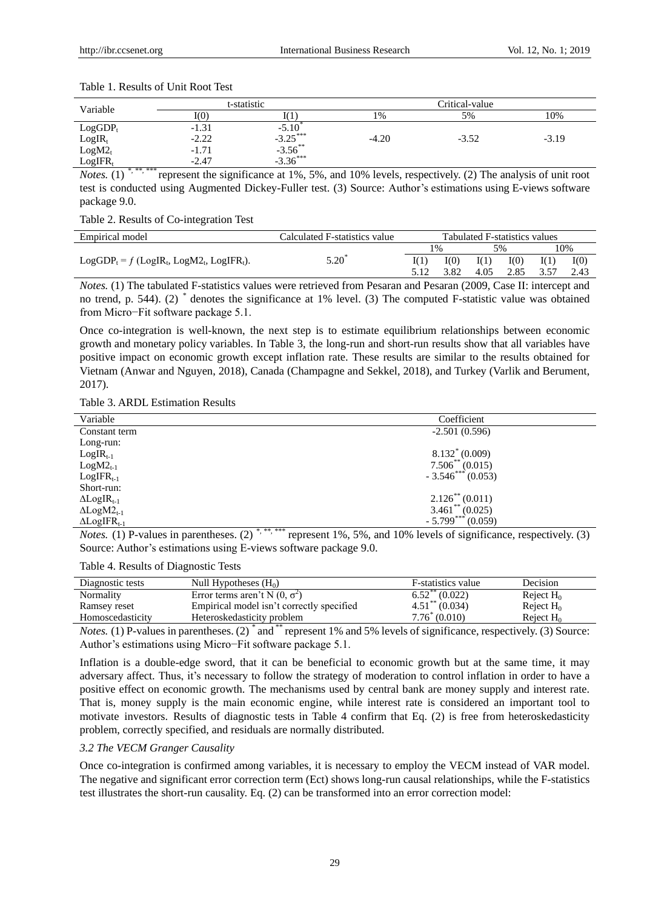| Variable   |         | t-statistic                   |         | Critical-value |         |  |  |
|------------|---------|-------------------------------|---------|----------------|---------|--|--|
|            | I(0)    |                               | 1%      | 5%             | 10%     |  |  |
| $LogGDP_t$ | $-1.31$ | $-5.10$                       |         |                |         |  |  |
| $LogIR_t$  | $-2.22$ | $-3.25***$                    | $-4.20$ | $-3.52$        | $-3.19$ |  |  |
| $LogM2_t$  | $-1.71$ | $-3.56^{**}$<br>$-3.36^{***}$ |         |                |         |  |  |
| $LogIFR_1$ | $-2.47$ |                               |         |                |         |  |  |

#### Table 1. Results of Unit Root Test

*Notes.* (1) *\*, \*\*, \*\*\** represent the significance at 1%, 5%, and 10% levels, respectively. (2) The analysis of unit root test is conducted using Augmented Dickey-Fuller test. (3) Source: Author's estimations using E-views software package 9.0.

Table 2. Results of Co-integration Test

| Empirical model                              | Calculated F-statistics value | Tabulated F-statistics values |      |      |      |      |      |  |
|----------------------------------------------|-------------------------------|-------------------------------|------|------|------|------|------|--|
|                                              |                               |                               | 1%   |      | 5%   |      | 10%  |  |
| $LogGDP_t = f (LogIR_t, LogM2_t, LogIFR_t).$ | $5.20^{\circ}$                |                               | I(0) | I(1) | I(0) | I(1) | I(0) |  |
|                                              |                               |                               | 3.82 | 4.05 | 2.85 | 3.57 | 2.43 |  |

*Notes.* (1) The tabulated F-statistics values were retrieved from Pesaran and Pesaran (2009, Case II: intercept and no trend, p. 544). (2) *\** denotes the significance at 1% level. (3) The computed F-statistic value was obtained from Micro−Fit software package 5.1.

Once co-integration is well-known, the next step is to estimate equilibrium relationships between economic growth and monetary policy variables. In Table 3, the long-run and short-run results show that all variables have positive impact on economic growth except inflation rate. These results are similar to the results obtained for Vietnam (Anwar and Nguyen, 2018), Canada (Champagne and Sekkel, 2018), and Turkey (Varlik and Berument, 2017).

Table 3. ARDL Estimation Results

| Variable                       | Coefficient                   |
|--------------------------------|-------------------------------|
| Constant term                  | $-2.501(0.596)$               |
| Long-run:                      |                               |
| $LogIR_{t-1}$                  | $8.132^*(0.009)$              |
| $LogM2_{t-1}$                  | $7.506^{**}$ (0.015)          |
| $LogIFR_{t-1}$                 | $-3.546***(0.053)$            |
| Short-run:                     |                               |
| $\Delta$ LogIR <sub>t-1</sub>  | $2.126$ <sup>**</sup> (0.011) |
| $\Delta$ Log $M2_{t-1}$        | $3.461^{**} (0.025)$          |
| $\Delta$ LogIFR <sub>t-1</sub> | $-5.799***(0.059)$            |

*Notes.* (1) P-values in parentheses. (2) *\*, \*\*, \*\*\** represent 1%, 5%, and 10% levels of significance, respectively. (3) Source: Author's estimations using E-views software package 9.0.

Table 4. Results of Diagnostic Tests

| Diagnostic tests | Null Hypotheses $(H_0)$                   | F-statistics value             | Decision     |
|------------------|-------------------------------------------|--------------------------------|--------------|
| Normality        | Error terms aren't N $(0, \sigma^2)$      | $6.52$ <sup>**</sup> $(0.022)$ | Reject $H_0$ |
| Ramsey reset     | Empirical model isn't correctly specified | $4.51$ <sup>**</sup> (0.034)   | Reject $H_0$ |
| Homoscedasticity | Heteroskedasticity problem                | $7.76^*(0.010)$                | Reject $H_0$ |

*Notes.* (1) P-values in parentheses. (2)  $*$  and  $**$  represent 1% and 5% levels of significance, respectively. (3) Source: Author's estimations using Micro−Fit software package 5.1.

Inflation is a double-edge sword, that it can be beneficial to economic growth but at the same time, it may adversary affect. Thus, it's necessary to follow the strategy of moderation to control inflation in order to have a positive effect on economic growth. The mechanisms used by central bank are money supply and interest rate. That is, money supply is the main economic engine, while interest rate is considered an important tool to motivate investors. Results of diagnostic tests in Table 4 confirm that Eq. (2) is free from heteroskedasticity problem, correctly specified, and residuals are normally distributed.

#### *3.2 The VECM Granger Causality*

Once co-integration is confirmed among variables, it is necessary to employ the VECM instead of VAR model. The negative and significant error correction term (Ect) shows long-run causal relationships, while the F-statistics test illustrates the short-run causality. Eq. (2) can be transformed into an error correction model: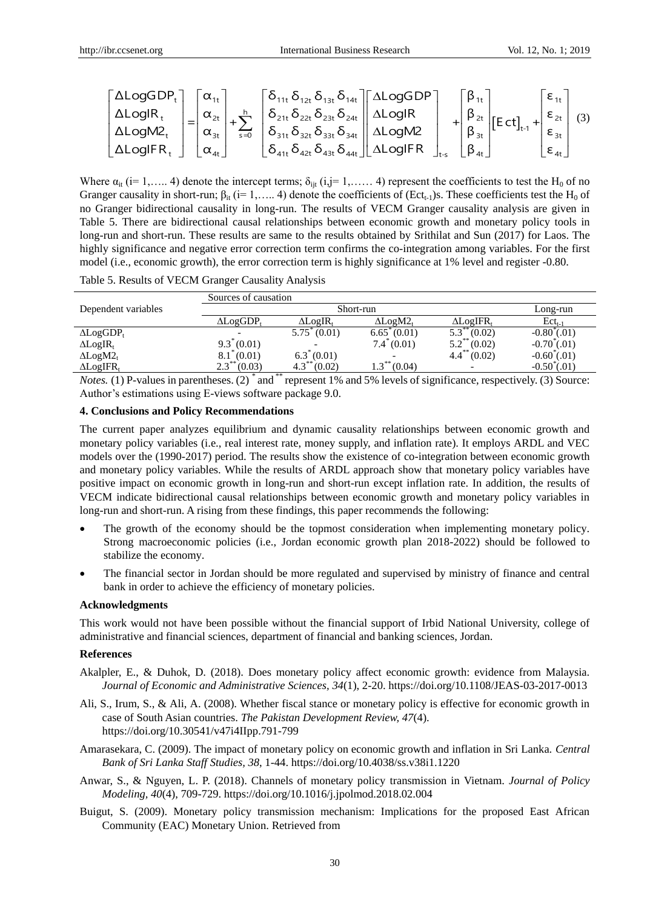<sup>t</sup> 1t 11t 14t 1t 12t 13t h <sup>t</sup> 2t 21t 24t 2t 22t 23t <sup>t</sup> 3t 31t 34t 3t s=0 32t 33t <sup>t</sup> 4t 41t 44t 42t 43t t-s ΔLogGDP α δ δ β <sup>δ</sup> <sup>δ</sup> LogGDP ΔLogIR α δ δ β <sup>δ</sup> <sup>δ</sup> LogIR = + + ΔLogM2 LogM2 α δ δ β <sup>δ</sup> <sup>δ</sup> ΔLogIFR α δ δ <sup>δ</sup> <sup>δ</sup> LogIFR 1t 2t t-1 3t 4t 4t ε ε E ct + ε β ε (3)

Where  $\alpha_{it}$  (i= 1,….. 4) denote the intercept terms;  $\delta_{it}$  (i,j= 1,…… 4) represent the coefficients to test the H<sub>0</sub> of no Granger causality in short-run;  $\beta_{it}$  (i= 1,….. 4) denote the coefficients of (Ect<sub>t-1</sub>)s. These coefficients test the H<sub>0</sub> of no Granger bidirectional causality in long-run. The results of VECM Granger causality analysis are given in Table 5. There are bidirectional causal relationships between economic growth and monetary policy tools in long-run and short-run. These results are same to the results obtained by Srithilat and Sun (2017) for Laos. The highly significance and negative error correction term confirms the co-integration among variables. For the first model (i.e., economic growth), the error correction term is highly significance at 1% level and register -0.80.

Table 5. Results of VECM Granger Causality Analysis

|                              | Sources of causation  |                         |                       |                              |                        |
|------------------------------|-----------------------|-------------------------|-----------------------|------------------------------|------------------------|
| Dependent variables          | Short-run             |                         |                       |                              | Long-run               |
|                              | $\Delta LogGDP_t$     | $\Delta$ LogIR.         | $\Delta$ LogM $2_{t}$ | $\Delta$ LogIFR,             | $\text{Ect}_{t-1}$     |
| $\Delta LogGDP_t$            |                       | $5.75^{\degree} (0.01)$ | $6.65^{\circ}(0.01)$  | 5.3<br>(0.02)                | $-0.80$ (.01)          |
| $\Delta$ LogIR <sub>t</sub>  | $9.3^*(0.01)$         |                         | $7.4^{\degree}(0.01)$ | $5.2^{**}(0.02)$             | $-0.70^{\circ}(.01)$   |
| $\Delta$ LogM $2_{t}$        | $8.1^{\degree}(0.01)$ | $6.3^*(0.01)$           |                       | $4.4$ <sup>**</sup> $(0.02)$ | $-0.60^{\degree}(.01)$ |
| $\Delta$ LogIFR <sub>t</sub> | $2.3***$<br>(0.03)    | $4.3***$<br>(0.02)      | $1.3***$<br>(0.04)    | -                            | $-0.50$ (.01)          |

*Notes.* (1) P-values in parentheses. (2)  $*$  and  $**$  represent 1% and 5% levels of significance, respectively. (3) Source: Author's estimations using E-views software package 9.0.

#### **4. Conclusions and Policy Recommendations**

The current paper analyzes equilibrium and dynamic causality relationships between economic growth and monetary policy variables (i.e., real interest rate, money supply, and inflation rate). It employs ARDL and VEC models over the (1990-2017) period. The results show the existence of co-integration between economic growth and monetary policy variables. While the results of ARDL approach show that monetary policy variables have positive impact on economic growth in long-run and short-run except inflation rate. In addition, the results of VECM indicate bidirectional causal relationships between economic growth and monetary policy variables in long-run and short-run. A rising from these findings, this paper recommends the following:

- The growth of the economy should be the topmost consideration when implementing monetary policy. Strong macroeconomic policies (i.e., Jordan economic growth plan 2018-2022) should be followed to stabilize the economy.
- The financial sector in Jordan should be more regulated and supervised by ministry of finance and central bank in order to achieve the efficiency of monetary policies.

#### **Acknowledgments**

This work would not have been possible without the financial support of Irbid National University, college of administrative and financial sciences, department of financial and banking sciences, Jordan.

#### **References**

- Akalpler, E., & Duhok, D. (2018). Does monetary policy affect economic growth: evidence from Malaysia. *Journal of Economic and Administrative Sciences, 34*(1), 2-20. https://doi.org/10.1108/JEAS-03-2017-0013
- Ali, S., Irum, S., & Ali, A. (2008). Whether fiscal stance or monetary policy is effective for economic growth in case of South Asian countries. *The Pakistan Development Review, 47*(4). https://doi.org/10.30541/v47i4IIpp.791-799
- Amarasekara, C. (2009). The impact of monetary policy on economic growth and inflation in Sri Lanka. *Central Bank of Sri Lanka Staff Studies, 38*, 1-44. https://doi.org/10.4038/ss.v38i1.1220
- Anwar, S., & Nguyen, L. P. (2018). Channels of monetary policy transmission in Vietnam. *Journal of Policy Modeling, 40*(4), 709-729. https://doi.org/10.1016/j.jpolmod.2018.02.004
- Buigut, S. (2009). Monetary policy transmission mechanism: Implications for the proposed East African Community (EAC) Monetary Union. Retrieved from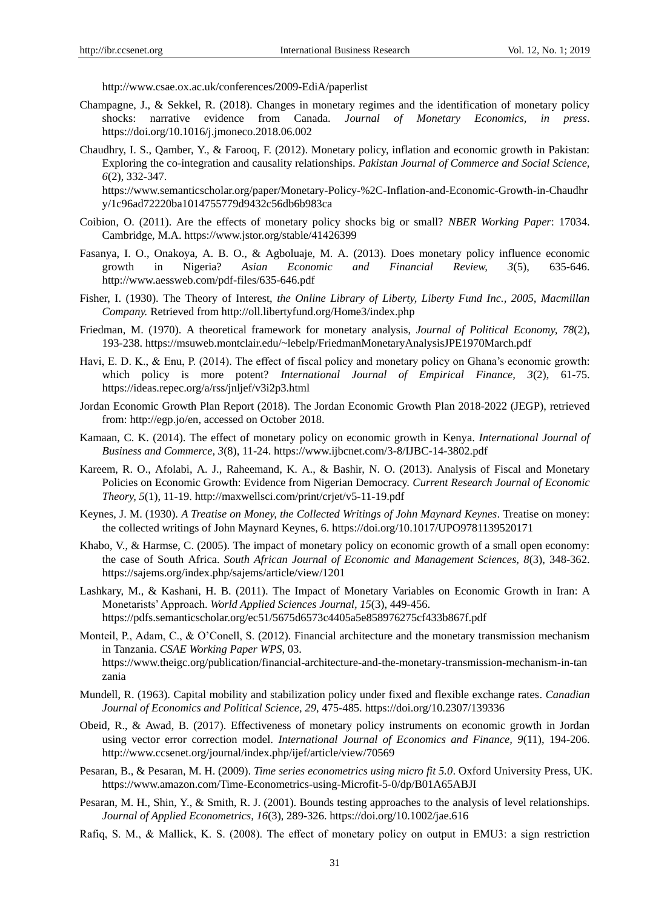<http://www.csae.ox.ac.uk/conferences/2009-EdiA/paperlist>

- Champagne, J., & Sekkel, R. (2018). Changes in monetary regimes and the identification of monetary policy shocks: narrative evidence from Canada. *Journal of Monetary Economics, in press*. <https://doi.org/10.1016/j.jmoneco.2018.06.002>
- Chaudhry, I. S., Qamber, Y., & Farooq, F. (2012). Monetary policy, inflation and economic growth in Pakistan: Exploring the co-integration and causality relationships. *Pakistan Journal of Commerce and Social Science, 6*(2), 332-347.

https://www.semanticscholar.org/paper/Monetary-Policy-%2C-Inflation-and-Economic-Growth-in-Chaudhr y/1c96ad72220ba1014755779d9432c56db6b983ca

- Coibion, O. (2011). Are the effects of monetary policy shocks big or small? *NBER Working Paper*: 17034. Cambridge, M.A. https://www.jstor.org/stable/41426399
- Fasanya, I. O., Onakoya, A. B. O., & Agboluaje, M. A. (2013). Does monetary policy influence economic growth in Nigeria? *Asian Economic and Financial Review, 3*(5), 635-646. http://www.aessweb.com/pdf-files/635-646.pdf
- Fisher, I. (1930). The Theory of Interest, *the Online Library of Liberty, Liberty Fund Inc., 2005, Macmillan Company.* Retrieved from <http://oll.libertyfund.org/Home3/index.php>
- Friedman, M. (1970). A theoretical framework for monetary analysis, *Journal of Political Economy, 78*(2), 193-238. https://msuweb.montclair.edu/~lebelp/FriedmanMonetaryAnalysisJPE1970March.pdf
- Havi, E. D. K., & Enu, P. (2014). The effect of fiscal policy and monetary policy on Ghana's economic growth: which policy is more potent? *International Journal of Empirical Finance, 3*(2), 61-75. https://ideas.repec.org/a/rss/jnljef/v3i2p3.html
- Jordan Economic Growth Plan Report (2018). The Jordan Economic Growth Plan 2018-2022 (JEGP), retrieved from[: http://egp.jo/en,](http://egp.jo/en) accessed on October 2018.
- Kamaan, C. K. (2014). The effect of monetary policy on economic growth in Kenya. *International Journal of Business and Commerce, 3*(8), 11-24. https://www.ijbcnet.com/3-8/IJBC-14-3802.pdf
- Kareem, R. O., Afolabi, A. J., Raheemand, K. A., & Bashir, N. O. (2013). Analysis of Fiscal and Monetary Policies on Economic Growth: Evidence from Nigerian Democracy. *Current Research Journal of Economic Theory, 5*(1), 11-19. http://maxwellsci.com/print/crjet/v5-11-19.pdf
- Keynes, J. M. (1930). *A Treatise on Money, the Collected Writings of John Maynard Keynes*. Treatise on money: the collected writings of John Maynard Keynes, 6. https://doi.org/10.1017/UPO9781139520171
- Khabo, V., & Harmse, C. (2005). The impact of monetary policy on economic growth of a small open economy: the case of South Africa. *South African Journal of Economic and Management Sciences, 8*(3), 348-362. https://sajems.org/index.php/sajems/article/view/1201
- Lashkary, M., & Kashani, H. B. (2011). The Impact of Monetary Variables on Economic Growth in Iran: A Monetarists' Approach. *World Applied Sciences Journal, 15*(3), 449-456. https://pdfs.semanticscholar.org/ec51/5675d6573c4405a5e858976275cf433b867f.pdf
- Monteil, P., Adam, C., & O'Conell, S. (2012). Financial architecture and the monetary transmission mechanism in Tanzania. *CSAE Working Paper WPS*, 03. https://www.theigc.org/publication/financial-architecture-and-the-monetary-transmission-mechanism-in-tan zania
- Mundell, R. (1963). Capital mobility and stabilization policy under fixed and flexible exchange rates. *Canadian Journal of Economics and Political Science, 29*, 475-485[. https://doi.org/10.2307/139336](https://doi.org/10.2307/139336)
- Obeid, R., & Awad, B. (2017). Effectiveness of monetary policy instruments on economic growth in Jordan using vector error correction model. *International Journal of Economics and Finance, 9*(11), 194-206. http://www.ccsenet.org/journal/index.php/ijef/article/view/70569
- Pesaran, B., & Pesaran, M. H. (2009). *Time series econometrics using micro fit 5.0*. Oxford University Press, UK. https://www.amazon.com/Time-Econometrics-using-Microfit-5-0/dp/B01A65ABJI
- Pesaran, M. H., Shin, Y., & Smith, R. J. (2001). Bounds testing approaches to the analysis of level relationships. *Journal of Applied Econometrics, 16*(3), 289-326.<https://doi.org/10.1002/jae.616>
- Rafiq, S. M., & Mallick, K. S. (2008). The effect of monetary policy on output in EMU3: a sign restriction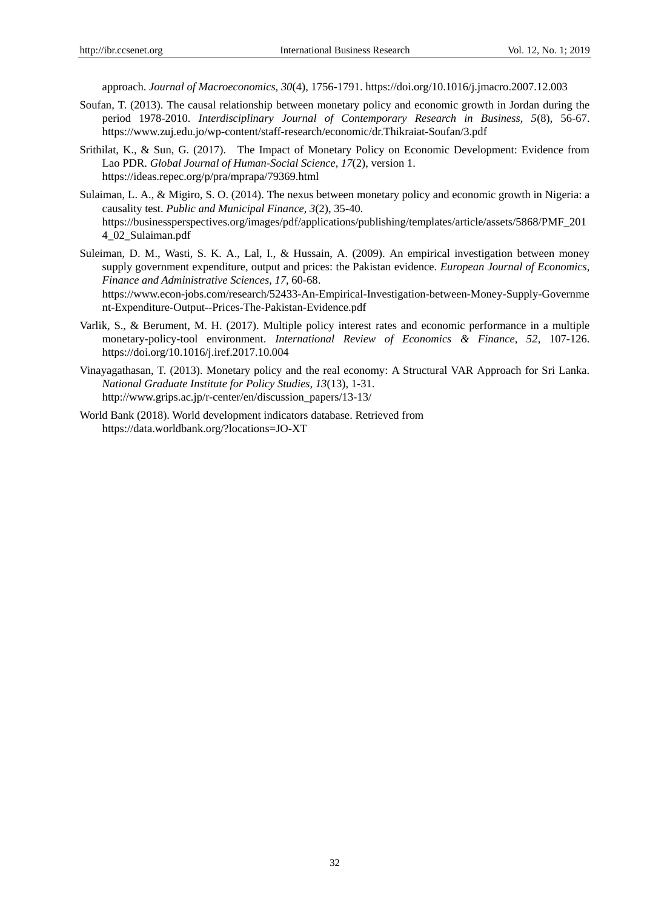approach. *Journal of Macroeconomics, 30*(4), 1756-1791.<https://doi.org/10.1016/j.jmacro.2007.12.003>

- Soufan, T. (2013). The causal relationship between monetary policy and economic growth in Jordan during the period 1978-2010. *Interdisciplinary Journal of Contemporary Research in Business, 5*(8), 56-67. https://www.zuj.edu.jo/wp-content/staff-research/economic/dr.Thikraiat-Soufan/3.pdf
- Srithilat, K., & Sun, G. (2017). The Impact of Monetary Policy on Economic Development: Evidence from Lao PDR. *Global Journal of Human-Social Science, 17*(2), version 1. https://ideas.repec.org/p/pra/mprapa/79369.html
- Sulaiman, L. A., & Migiro, S. O. (2014). The nexus between monetary policy and economic growth in Nigeria: a causality test. *Public and Municipal Finance, 3*(2), 35-40. https://businessperspectives.org/images/pdf/applications/publishing/templates/article/assets/5868/PMF\_201 4\_02\_Sulaiman.pdf
- Suleiman, D. M., Wasti, S. K. A., Lal, I., & Hussain, A. (2009). An empirical investigation between money supply government expenditure, output and prices: the Pakistan evidence. *European Journal of Economics, Finance and Administrative Sciences, 17*, 60-68. https://www.econ-jobs.com/research/52433-An-Empirical-Investigation-between-Money-Supply-Governme nt-Expenditure-Output--Prices-The-Pakistan-Evidence.pdf
- Varlik, S., & Berument, M. H. (2017). Multiple policy interest rates and economic performance in a multiple monetary-policy-tool environment. *International Review of Economics & Finance, 52*, 107-126. <https://doi.org/10.1016/j.iref.2017.10.004>
- Vinayagathasan, T. (2013). Monetary policy and the real economy: A Structural VAR Approach for Sri Lanka. *National Graduate Institute for Policy Studies, 13*(13), 1-31. http://www.grips.ac.jp/r-center/en/discussion\_papers/13-13/
- World Bank (2018). World development indicators database. Retrieved from <https://data.worldbank.org/?locations=JO-XT>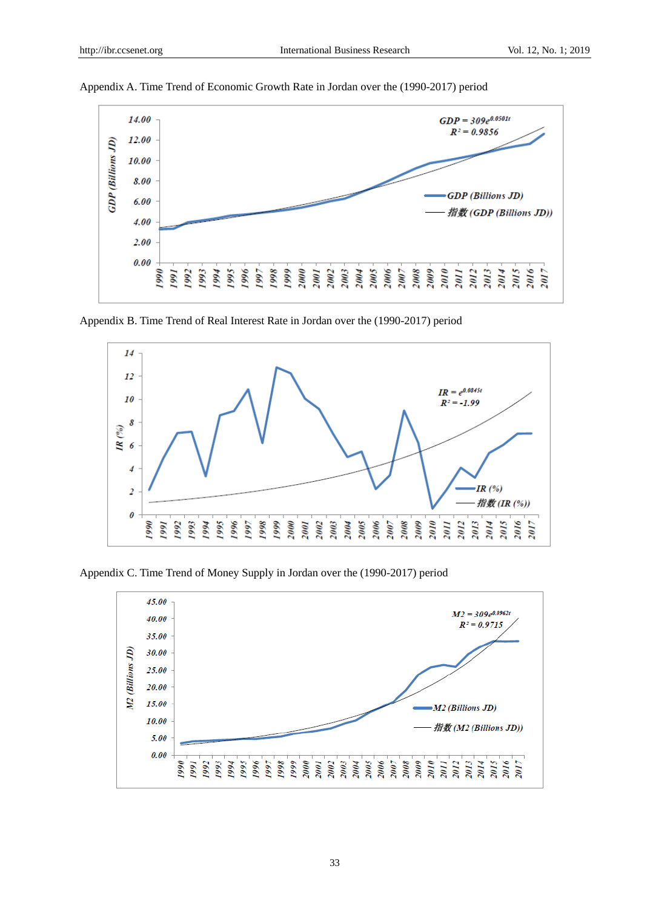

Appendix A. Time Trend of Economic Growth Rate in Jordan over the (1990-2017) period

Appendix B. Time Trend of Real Interest Rate in Jordan over the (1990-2017) period



Appendix C. Time Trend of Money Supply in Jordan over the (1990-2017) period